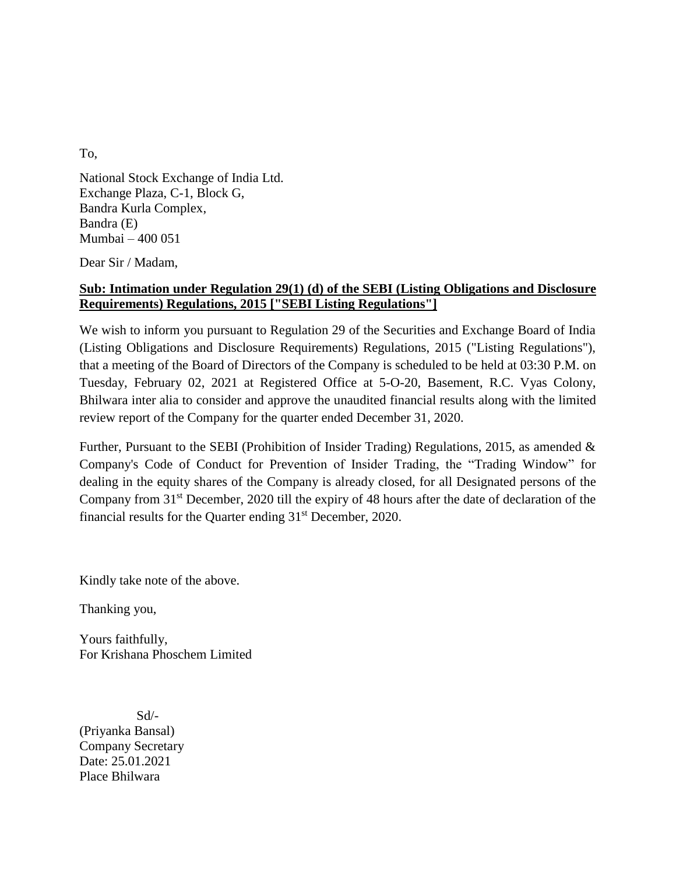To,

National Stock Exchange of India Ltd. Exchange Plaza, C-1, Block G, Bandra Kurla Complex, Bandra (E) Mumbai – 400 051

Dear Sir / Madam,

## **Sub: Intimation under Regulation 29(1) (d) of the SEBI (Listing Obligations and Disclosure Requirements) Regulations, 2015 ["SEBI Listing Regulations"]**

We wish to inform you pursuant to Regulation 29 of the Securities and Exchange Board of India (Listing Obligations and Disclosure Requirements) Regulations, 2015 ("Listing Regulations"), that a meeting of the Board of Directors of the Company is scheduled to be held at 03:30 P.M. on Tuesday, February 02, 2021 at Registered Office at 5-O-20, Basement, R.C. Vyas Colony, Bhilwara inter alia to consider and approve the unaudited financial results along with the limited review report of the Company for the quarter ended December 31, 2020.

Further, Pursuant to the SEBI (Prohibition of Insider Trading) Regulations, 2015, as amended & Company's Code of Conduct for Prevention of Insider Trading, the "Trading Window" for dealing in the equity shares of the Company is already closed, for all Designated persons of the Company from 31st December, 2020 till the expiry of 48 hours after the date of declaration of the financial results for the Quarter ending  $31<sup>st</sup>$  December, 2020.

Kindly take note of the above.

Thanking you,

Yours faithfully, For Krishana Phoschem Limited

Sd/- (Priyanka Bansal) Company Secretary Date: 25.01.2021 Place Bhilwara